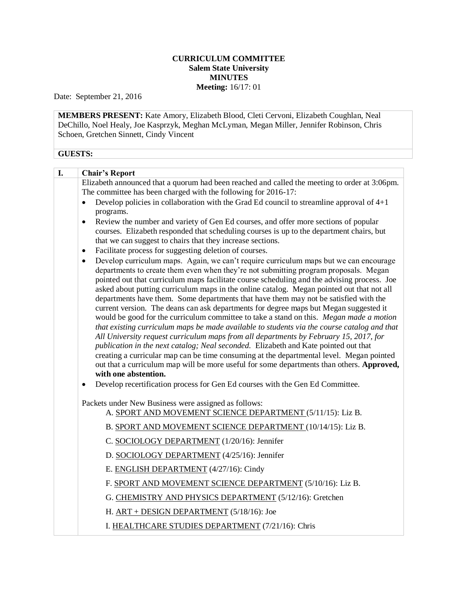## **CURRICULUM COMMITTEE Salem State University MINUTES Meeting:** 16/17: 01

Date: September 21, 2016

**MEMBERS PRESENT:** Kate Amory, Elizabeth Blood, Cleti Cervoni, Elizabeth Coughlan, Neal DeChillo, Noel Healy, Joe Kasprzyk, Meghan McLyman, Megan Miller, Jennifer Robinson, Chris Schoen, Gretchen Sinnett, Cindy Vincent

## **GUESTS:**

| I. | <b>Chair's Report</b>                                                                                                                                                                                                                                                                                                                                                                                                                                                                                                                                                                                                                                                                                                                                                                                                                                                                                                                                                                                                                                                                                                                                                                                                                                            |
|----|------------------------------------------------------------------------------------------------------------------------------------------------------------------------------------------------------------------------------------------------------------------------------------------------------------------------------------------------------------------------------------------------------------------------------------------------------------------------------------------------------------------------------------------------------------------------------------------------------------------------------------------------------------------------------------------------------------------------------------------------------------------------------------------------------------------------------------------------------------------------------------------------------------------------------------------------------------------------------------------------------------------------------------------------------------------------------------------------------------------------------------------------------------------------------------------------------------------------------------------------------------------|
|    | Elizabeth announced that a quorum had been reached and called the meeting to order at 3:06pm.<br>The committee has been charged with the following for 2016-17:                                                                                                                                                                                                                                                                                                                                                                                                                                                                                                                                                                                                                                                                                                                                                                                                                                                                                                                                                                                                                                                                                                  |
|    | Develop policies in collaboration with the Grad Ed council to streamline approval of $4+1$<br>$\bullet$<br>programs.                                                                                                                                                                                                                                                                                                                                                                                                                                                                                                                                                                                                                                                                                                                                                                                                                                                                                                                                                                                                                                                                                                                                             |
|    | Review the number and variety of Gen Ed courses, and offer more sections of popular<br>$\bullet$<br>courses. Elizabeth responded that scheduling courses is up to the department chairs, but<br>that we can suggest to chairs that they increase sections.                                                                                                                                                                                                                                                                                                                                                                                                                                                                                                                                                                                                                                                                                                                                                                                                                                                                                                                                                                                                       |
|    | Facilitate process for suggesting deletion of courses.<br>$\bullet$                                                                                                                                                                                                                                                                                                                                                                                                                                                                                                                                                                                                                                                                                                                                                                                                                                                                                                                                                                                                                                                                                                                                                                                              |
|    | Develop curriculum maps. Again, we can't require curriculum maps but we can encourage<br>$\bullet$<br>departments to create them even when they're not submitting program proposals. Megan<br>pointed out that curriculum maps facilitate course scheduling and the advising process. Joe<br>asked about putting curriculum maps in the online catalog. Megan pointed out that not all<br>departments have them. Some departments that have them may not be satisfied with the<br>current version. The deans can ask departments for degree maps but Megan suggested it<br>would be good for the curriculum committee to take a stand on this. Megan made a motion<br>that existing curriculum maps be made available to students via the course catalog and that<br>All University request curriculum maps from all departments by February 15, 2017, for<br>publication in the next catalog; Neal seconded. Elizabeth and Kate pointed out that<br>creating a curricular map can be time consuming at the departmental level. Megan pointed<br>out that a curriculum map will be more useful for some departments than others. Approved,<br>with one abstention.<br>Develop recertification process for Gen Ed courses with the Gen Ed Committee.<br>$\bullet$ |
|    | Packets under New Business were assigned as follows:<br>A. SPORT AND MOVEMENT SCIENCE DEPARTMENT (5/11/15): Liz B.                                                                                                                                                                                                                                                                                                                                                                                                                                                                                                                                                                                                                                                                                                                                                                                                                                                                                                                                                                                                                                                                                                                                               |
|    | B. SPORT AND MOVEMENT SCIENCE DEPARTMENT (10/14/15): Liz B.                                                                                                                                                                                                                                                                                                                                                                                                                                                                                                                                                                                                                                                                                                                                                                                                                                                                                                                                                                                                                                                                                                                                                                                                      |
|    | C. SOCIOLOGY DEPARTMENT (1/20/16): Jennifer                                                                                                                                                                                                                                                                                                                                                                                                                                                                                                                                                                                                                                                                                                                                                                                                                                                                                                                                                                                                                                                                                                                                                                                                                      |
|    | D. SOCIOLOGY DEPARTMENT (4/25/16): Jennifer                                                                                                                                                                                                                                                                                                                                                                                                                                                                                                                                                                                                                                                                                                                                                                                                                                                                                                                                                                                                                                                                                                                                                                                                                      |
|    | E. ENGLISH DEPARTMENT (4/27/16): Cindy                                                                                                                                                                                                                                                                                                                                                                                                                                                                                                                                                                                                                                                                                                                                                                                                                                                                                                                                                                                                                                                                                                                                                                                                                           |
|    | F. SPORT AND MOVEMENT SCIENCE DEPARTMENT (5/10/16): Liz B.                                                                                                                                                                                                                                                                                                                                                                                                                                                                                                                                                                                                                                                                                                                                                                                                                                                                                                                                                                                                                                                                                                                                                                                                       |
|    | G. CHEMISTRY AND PHYSICS DEPARTMENT (5/12/16): Gretchen                                                                                                                                                                                                                                                                                                                                                                                                                                                                                                                                                                                                                                                                                                                                                                                                                                                                                                                                                                                                                                                                                                                                                                                                          |
|    | H. ART + DESIGN DEPARTMENT (5/18/16): Joe                                                                                                                                                                                                                                                                                                                                                                                                                                                                                                                                                                                                                                                                                                                                                                                                                                                                                                                                                                                                                                                                                                                                                                                                                        |
|    | I. HEALTHCARE STUDIES DEPARTMENT (7/21/16): Chris                                                                                                                                                                                                                                                                                                                                                                                                                                                                                                                                                                                                                                                                                                                                                                                                                                                                                                                                                                                                                                                                                                                                                                                                                |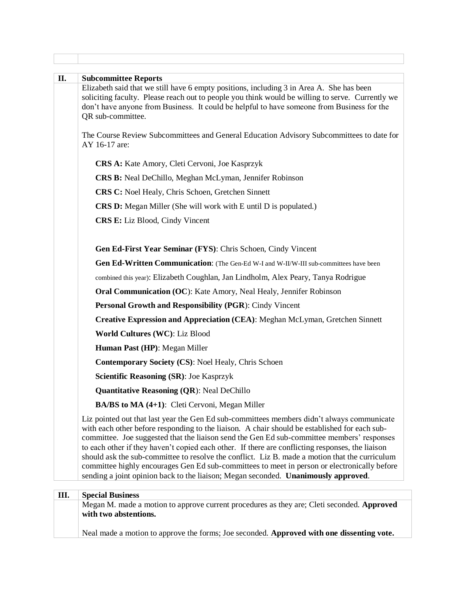| П. | <b>Subcommittee Reports</b><br>Elizabeth said that we still have 6 empty positions, including 3 in Area A. She has been<br>soliciting faculty. Please reach out to people you think would be willing to serve. Currently we<br>don't have anyone from Business. It could be helpful to have someone from Business for the<br>QR sub-committee.                                                                                                                                                                                                                                                                                                                                               |
|----|----------------------------------------------------------------------------------------------------------------------------------------------------------------------------------------------------------------------------------------------------------------------------------------------------------------------------------------------------------------------------------------------------------------------------------------------------------------------------------------------------------------------------------------------------------------------------------------------------------------------------------------------------------------------------------------------|
|    | The Course Review Subcommittees and General Education Advisory Subcommittees to date for<br>AY 16-17 are:                                                                                                                                                                                                                                                                                                                                                                                                                                                                                                                                                                                    |
|    | CRS A: Kate Amory, Cleti Cervoni, Joe Kasprzyk                                                                                                                                                                                                                                                                                                                                                                                                                                                                                                                                                                                                                                               |
|    | CRS B: Neal DeChillo, Meghan McLyman, Jennifer Robinson                                                                                                                                                                                                                                                                                                                                                                                                                                                                                                                                                                                                                                      |
|    | <b>CRS C:</b> Noel Healy, Chris Schoen, Gretchen Sinnett                                                                                                                                                                                                                                                                                                                                                                                                                                                                                                                                                                                                                                     |
|    | <b>CRS D:</b> Megan Miller (She will work with E until D is populated.)                                                                                                                                                                                                                                                                                                                                                                                                                                                                                                                                                                                                                      |
|    | <b>CRS E:</b> Liz Blood, Cindy Vincent                                                                                                                                                                                                                                                                                                                                                                                                                                                                                                                                                                                                                                                       |
|    | Gen Ed-First Year Seminar (FYS): Chris Schoen, Cindy Vincent                                                                                                                                                                                                                                                                                                                                                                                                                                                                                                                                                                                                                                 |
|    | Gen Ed-Written Communication: (The Gen-Ed W-I and W-II/W-III sub-committees have been                                                                                                                                                                                                                                                                                                                                                                                                                                                                                                                                                                                                        |
|    | combined this year): Elizabeth Coughlan, Jan Lindholm, Alex Peary, Tanya Rodrigue                                                                                                                                                                                                                                                                                                                                                                                                                                                                                                                                                                                                            |
|    | Oral Communication (OC): Kate Amory, Neal Healy, Jennifer Robinson                                                                                                                                                                                                                                                                                                                                                                                                                                                                                                                                                                                                                           |
|    | Personal Growth and Responsibility (PGR): Cindy Vincent                                                                                                                                                                                                                                                                                                                                                                                                                                                                                                                                                                                                                                      |
|    | <b>Creative Expression and Appreciation (CEA): Meghan McLyman, Gretchen Sinnett</b>                                                                                                                                                                                                                                                                                                                                                                                                                                                                                                                                                                                                          |
|    | World Cultures (WC): Liz Blood                                                                                                                                                                                                                                                                                                                                                                                                                                                                                                                                                                                                                                                               |
|    | Human Past (HP): Megan Miller                                                                                                                                                                                                                                                                                                                                                                                                                                                                                                                                                                                                                                                                |
|    | <b>Contemporary Society (CS): Noel Healy, Chris Schoen</b>                                                                                                                                                                                                                                                                                                                                                                                                                                                                                                                                                                                                                                   |
|    | <b>Scientific Reasoning (SR): Joe Kasprzyk</b>                                                                                                                                                                                                                                                                                                                                                                                                                                                                                                                                                                                                                                               |
|    | <b>Quantitative Reasoning (QR): Neal DeChillo</b>                                                                                                                                                                                                                                                                                                                                                                                                                                                                                                                                                                                                                                            |
|    | <b>BA/BS to MA (4+1):</b> Cleti Cervoni, Megan Miller                                                                                                                                                                                                                                                                                                                                                                                                                                                                                                                                                                                                                                        |
|    | Liz pointed out that last year the Gen Ed sub-committees members didn't always communicate<br>with each other before responding to the liaison. A chair should be established for each sub-<br>committee. Joe suggested that the liaison send the Gen Ed sub-committee members' responses<br>to each other if they haven't copied each other. If there are conflicting responses, the liaison<br>should ask the sub-committee to resolve the conflict. Liz B. made a motion that the curriculum<br>committee highly encourages Gen Ed sub-committees to meet in person or electronically before<br>sending a joint opinion back to the liaison; Megan seconded. <b>Unanimously approved.</b> |
| Ш. | <b>Special Business</b>                                                                                                                                                                                                                                                                                                                                                                                                                                                                                                                                                                                                                                                                      |
|    | Megan M. made a motion to approve current procedures as they are; Cleti seconded. Approved<br>with two abstentions.                                                                                                                                                                                                                                                                                                                                                                                                                                                                                                                                                                          |
|    | Neal made a motion to approve the forms; Joe seconded. Approved with one dissenting vote.                                                                                                                                                                                                                                                                                                                                                                                                                                                                                                                                                                                                    |